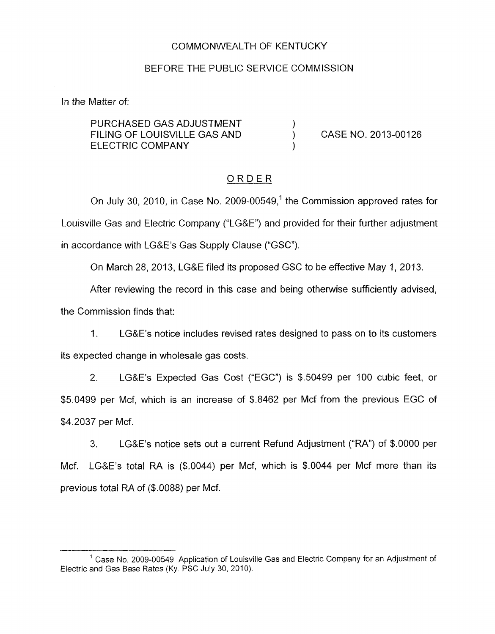### COMMONWEALTH OF KENTUCKY

#### BEFORE THE PUBLIC SERVICE COMMISSION

In the Matter of:

PURCHASED GAS ADJUSTMENT  $)$ <br>FILING OF LOUISVILLE GAS AND  $)$ FILING OF LOUISVILLE GAS AND ) ELECTRIC COMPANY )

CASE NO. 2013-00126

## ORDER

On July 30, 2010, in Case No. 2009-00549,' the Commission approved rates for Louisville Gas and Electric Company ("LG&E") and provided for their further adjustment in accordance with LG&E's Gas Supply Clause ("GSC").

On March 28, 2013, LG&E filed its proposed GSC to be effective May 1, 2013.

After reviewing the record in this case and being otherwise sufficiently advised, the Commission finds that:

1. LG&E's notice includes revised rates designed to pass on to its customers its expected change in wholesale gas costs.

2. LG&E's Expected Gas Cost ("EGC") is \$.50499 per 100 cubic feet, or \$5.0499 per Mcf, which is an increase of \$.8462 per Mcf from the previous EGC of \$4.2037 per Mcf.

3. LG&E's notice sets out a current Refund Adjustment ("RA") of \$.OOOO per Mcf. LG&E's total RA is (\$.0044) per Mcf, which is \$.0044 per Mcf more than its previous total RA of (\$.0088) per Mcf.

<sup>&</sup>lt;sup>1</sup> Case No. 2009-00549, Application of Louisville Gas and Electric Company for an Adjustment of Electric and Gas Base Rates (Ky. **PSC** July *30,* 2010).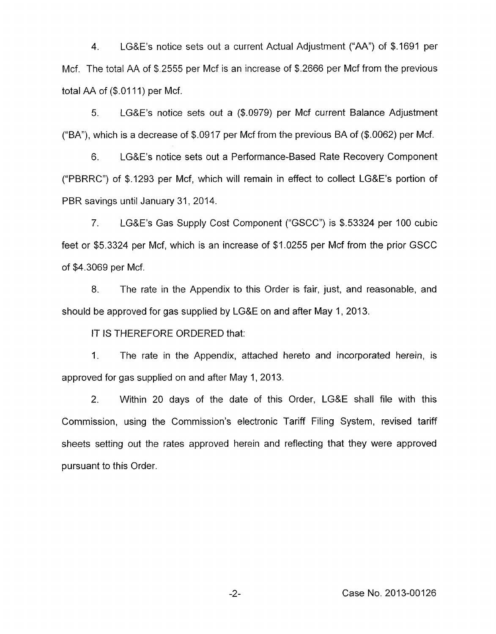4. LG&E's notice sets out a current Actual Adjustment ("AA") of \$1691 per Mcf. The total AA of \$.2555 per Mcf is an increase of \$.2666 per Mcf from the previous total AA of (\$.0111) per Mcf.

*5.* LG&E's notice sets out a (\$.0979) per Mcf current Balance Adjustment ("BA"), which is a decrease of \$.0917 per Mcf from the previous BA of (\$.0062) per Mcf.

6. LG&E's notice sets out a Performance-Based Rate Recovery Component ("PBRRC") of \$.I293 per Mcf, which will remain in effect to collect LG&E's portion of PBR savings until January 31, 2014.

7. LG&E's Gas Supply Cost Component ("GSCC") is \$.53324 per 100 cubic feet or \$5.3324 per Mcf, which is an increase of \$1.0255 per Mcf from the prior GSCC of \$4.3069 per Mcf.

8. The rate in the Appendix to this Order is fair, just, and reasonable, and should be approved for gas supplied by LG&E on and after May I, 2013.

IT IS THEREFORE ORDERED that:

1. The rate in the Appendix, attached hereto and incorporated herein, is approved for gas supplied on and after May 1, 2013.

2. Within 20 days of the date of this Order, LG&E shall file with this Commission, using the Commission's electronic Tariff Filing System, revised tariff sheets setting out the rates approved herein and reflecting that they were approved pursuant to this Order.

-2- Case No. 2013-00126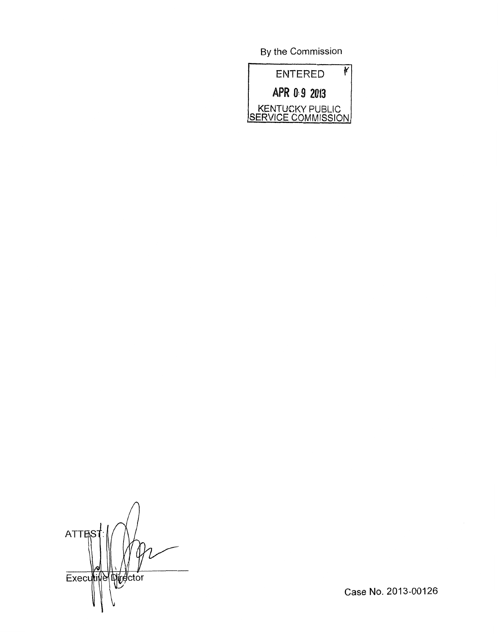By the Commission



*A*  **ATTES** Executive Director

Case No. 2013-00126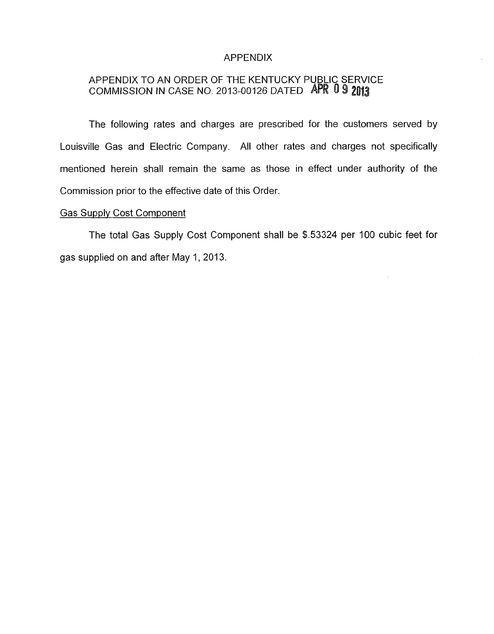## APPENDIX

# APPENDIX TO AN ORDER OF THE KENTUCKY PUBLIC SERVICE COMMISSION IN CASE NO. 2013-00126 DATED **A** 2

The following rates and charges are prescribed for the customers served by Louisville Gas and Electric Company. All other rates and charges not specifically mentioned herein shall remain the same as those in effect under authority of the Commission prior to the effective date of this Order.

#### **Gas Supply Cost Component**

The total Gas Supply Cost Component shall be \$.53324 per 100 cubic feet for gas supplied on and after May 1, 2013.